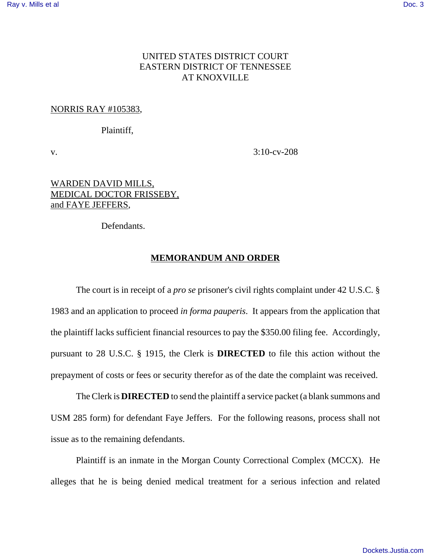## UNITED STATES DISTRICT COURT EASTERN DISTRICT OF TENNESSEE AT KNOXVILLE

## NORRIS RAY #105383,

## Plaintiff,

v. 3:10-cv-208

# WARDEN DAVID MILLS, MEDICAL DOCTOR FRISSEBY, and FAYE JEFFERS,

Defendants.

## **MEMORANDUM AND ORDER**

The court is in receipt of a *pro se* prisoner's civil rights complaint under 42 U.S.C. § 1983 and an application to proceed *in forma pauperis*. It appears from the application that the plaintiff lacks sufficient financial resources to pay the \$350.00 filing fee. Accordingly, pursuant to 28 U.S.C. § 1915, the Clerk is **DIRECTED** to file this action without the prepayment of costs or fees or security therefor as of the date the complaint was received.

The Clerk is **DIRECTED** to send the plaintiff a service packet (a blank summons and USM 285 form) for defendant Faye Jeffers. For the following reasons, process shall not issue as to the remaining defendants.

Plaintiff is an inmate in the Morgan County Correctional Complex (MCCX). He alleges that he is being denied medical treatment for a serious infection and related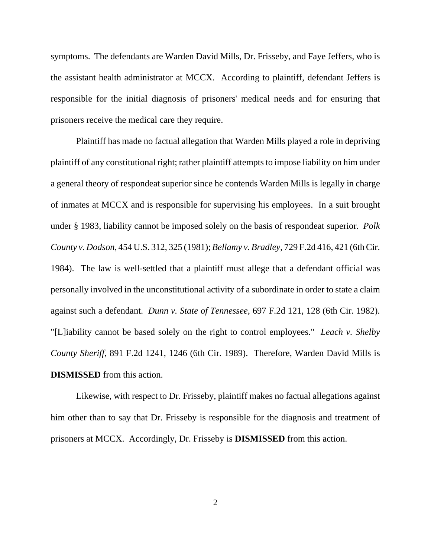symptoms. The defendants are Warden David Mills, Dr. Frisseby, and Faye Jeffers, who is the assistant health administrator at MCCX. According to plaintiff, defendant Jeffers is responsible for the initial diagnosis of prisoners' medical needs and for ensuring that prisoners receive the medical care they require.

Plaintiff has made no factual allegation that Warden Mills played a role in depriving plaintiff of any constitutional right; rather plaintiff attempts to impose liability on him under a general theory of respondeat superior since he contends Warden Mills is legally in charge of inmates at MCCX and is responsible for supervising his employees. In a suit brought under § 1983, liability cannot be imposed solely on the basis of respondeat superior. *Polk County v. Dodson*, 454 U.S. 312, 325 (1981); *Bellamy v. Bradley*, 729 F.2d 416, 421 (6th Cir. 1984). The law is well-settled that a plaintiff must allege that a defendant official was personally involved in the unconstitutional activity of a subordinate in order to state a claim against such a defendant. *Dunn v. State of Tennessee*, 697 F.2d 121, 128 (6th Cir. 1982). "[L]iability cannot be based solely on the right to control employees." *Leach v. Shelby County Sheriff*, 891 F.2d 1241, 1246 (6th Cir. 1989). Therefore, Warden David Mills is **DISMISSED** from this action.

Likewise, with respect to Dr. Frisseby, plaintiff makes no factual allegations against him other than to say that Dr. Frisseby is responsible for the diagnosis and treatment of prisoners at MCCX. Accordingly, Dr. Frisseby is **DISMISSED** from this action.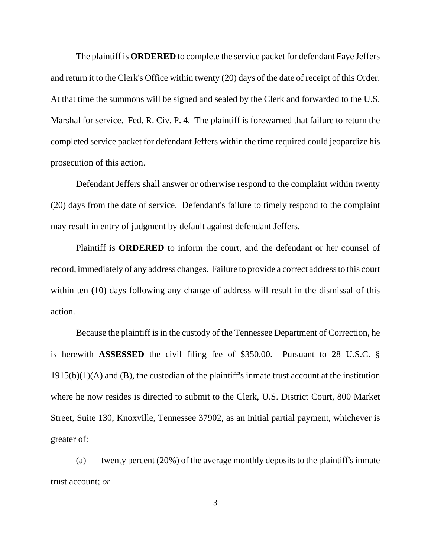The plaintiff is **ORDERED** to complete the service packet for defendant Faye Jeffers and return it to the Clerk's Office within twenty (20) days of the date of receipt of this Order. At that time the summons will be signed and sealed by the Clerk and forwarded to the U.S. Marshal for service. Fed. R. Civ. P. 4. The plaintiff is forewarned that failure to return the completed service packet for defendant Jeffers within the time required could jeopardize his prosecution of this action.

Defendant Jeffers shall answer or otherwise respond to the complaint within twenty (20) days from the date of service. Defendant's failure to timely respond to the complaint may result in entry of judgment by default against defendant Jeffers.

Plaintiff is **ORDERED** to inform the court, and the defendant or her counsel of record, immediately of any address changes. Failure to provide a correct address to this court within ten (10) days following any change of address will result in the dismissal of this action.

Because the plaintiff is in the custody of the Tennessee Department of Correction, he is herewith **ASSESSED** the civil filing fee of \$350.00. Pursuant to 28 U.S.C. §  $1915(b)(1)(A)$  and  $(B)$ , the custodian of the plaintiff's inmate trust account at the institution where he now resides is directed to submit to the Clerk, U.S. District Court, 800 Market Street, Suite 130, Knoxville, Tennessee 37902, as an initial partial payment, whichever is greater of:

(a) twenty percent (20%) of the average monthly deposits to the plaintiff's inmate trust account; *or*